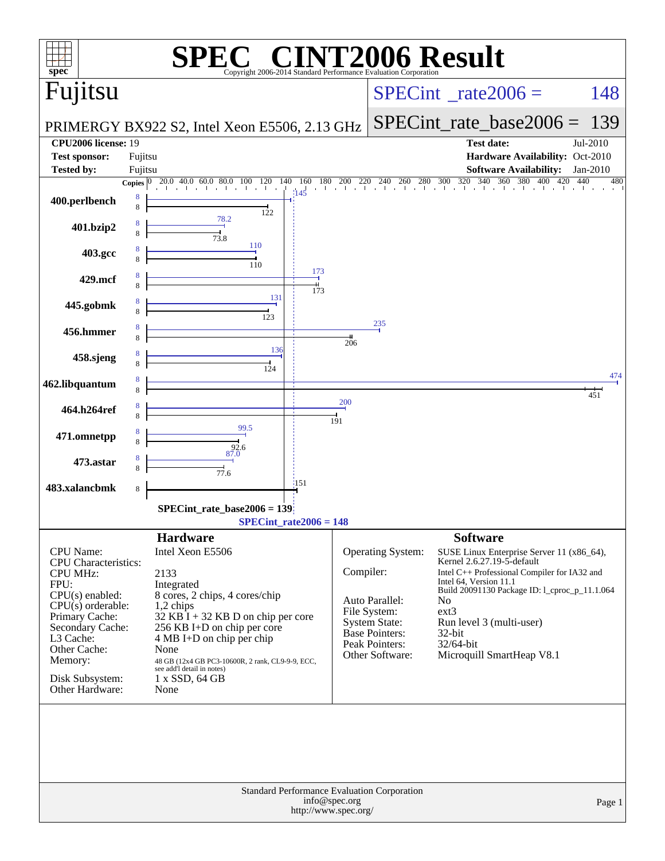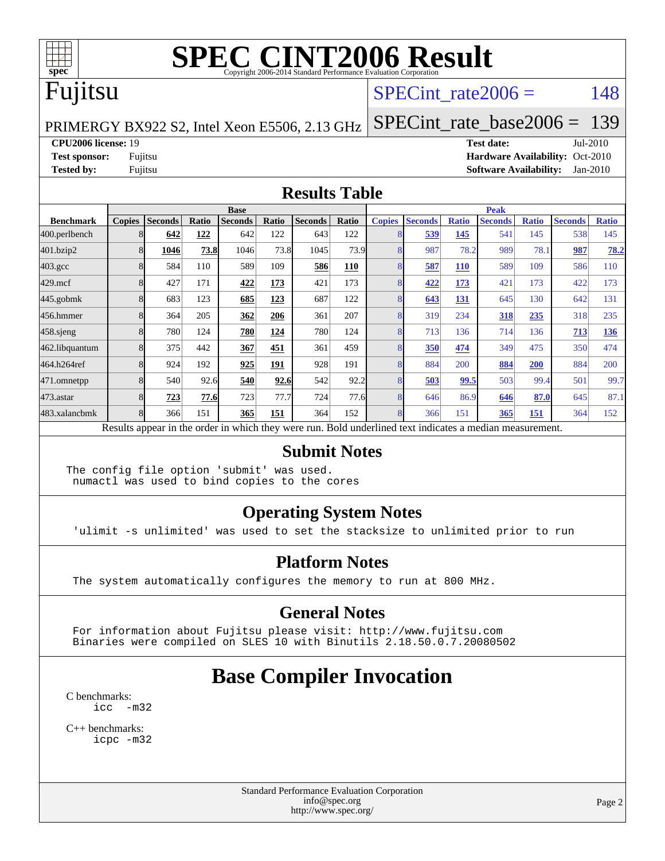

# Fujitsu

#### SPECint rate $2006 = 148$

PRIMERGY BX922 S2, Intel Xeon E5506, 2.13 GHz

[SPECint\\_rate\\_base2006 =](http://www.spec.org/auto/cpu2006/Docs/result-fields.html#SPECintratebase2006) 139

**[CPU2006 license:](http://www.spec.org/auto/cpu2006/Docs/result-fields.html#CPU2006license)** 19 **[Test date:](http://www.spec.org/auto/cpu2006/Docs/result-fields.html#Testdate)** Jul-2010

**[Test sponsor:](http://www.spec.org/auto/cpu2006/Docs/result-fields.html#Testsponsor)** Fujitsu **[Hardware Availability:](http://www.spec.org/auto/cpu2006/Docs/result-fields.html#HardwareAvailability)** Oct-2010 **[Tested by:](http://www.spec.org/auto/cpu2006/Docs/result-fields.html#Testedby)** Fujitsu **[Software Availability:](http://www.spec.org/auto/cpu2006/Docs/result-fields.html#SoftwareAvailability)** Jan-2010

#### **[Results Table](http://www.spec.org/auto/cpu2006/Docs/result-fields.html#ResultsTable)**

|                    | <b>Base</b>   |                                                                                                          |       |                |       |                |       | <b>Peak</b>   |                |              |                |              |                |              |
|--------------------|---------------|----------------------------------------------------------------------------------------------------------|-------|----------------|-------|----------------|-------|---------------|----------------|--------------|----------------|--------------|----------------|--------------|
| <b>Benchmark</b>   | <b>Copies</b> | <b>Seconds</b>                                                                                           | Ratio | <b>Seconds</b> | Ratio | <b>Seconds</b> | Ratio | <b>Copies</b> | <b>Seconds</b> | <b>Ratio</b> | <b>Seconds</b> | <b>Ratio</b> | <b>Seconds</b> | <b>Ratio</b> |
| $ 400$ .perlbench  |               | 642                                                                                                      | 122   | 642            | 122   | 643            | 122   |               | 539            | 145          | 541            | 145          | 538            | 145          |
| 401.bzip2          |               | 1046                                                                                                     | 73.8  | 1046           | 73.8  | 1045           | 73.9  |               | 987            | 78.2         | 989            | 78.1         | 987            | 78.2         |
| $403.\mathrm{gcc}$ |               | 584                                                                                                      | 110   | 589            | 109   | 586            | 110   |               | 587            | 110          | 589            | 109          | 586            | 110          |
| $429$ .mcf         | 8             | 427                                                                                                      | 171   | 422            | 173   | 421            | 173   |               | 422            | 173          | 421            | 173          | 422            | 173          |
| $445$ .gobmk       |               | 683                                                                                                      | 123   | 685            | 123   | 687            | 122   |               | 643            | 131          | 645            | 130          | 642            | 131          |
| 456.hmmer          |               | 364                                                                                                      | 205   | 362            | 206   | 361            | 207   |               | 319            | 234          | 318            | 235          | 318            | 235          |
| $458$ .sjeng       |               | 780                                                                                                      | 124   | 780            | 124   | 780            | 124   |               | 713            | 136          | 714            | 136          | 713            | 136          |
| 462.libquantum     |               | 375                                                                                                      | 442   | 367            | 451   | 361            | 459   |               | 350            | 474          | 349            | 475          | 350            | 474          |
| 464.h264ref        |               | 924                                                                                                      | 192   | 925            | 191   | 928            | 191   |               | 884            | 200          | 884            | 200          | 884            | 200          |
| 471.omnetpp        |               | 540                                                                                                      | 92.6  | 540            | 92.6  | 542            | 92.2  |               | 503            | 99.5         | 503            | 99.4         | 501            | 99.7         |
| $473$ . astar      |               | 723                                                                                                      | 77.6  | 723            | 77.7  | 724            | 77.6  |               | 646            | 86.9         | 646            | 87.0         | 645            | 87.1         |
| 483.xalancbmk      |               | 366                                                                                                      | 151   | 365            | 151   | 364            | 152   |               | 366            | 151          | 365            | 151          | 364            | 152          |
|                    |               | Results appear in the order in which they were run. Bold underlined text indicates a median measurement. |       |                |       |                |       |               |                |              |                |              |                |              |

#### **[Submit Notes](http://www.spec.org/auto/cpu2006/Docs/result-fields.html#SubmitNotes)**

The config file option 'submit' was used. numactl was used to bind copies to the cores

#### **[Operating System Notes](http://www.spec.org/auto/cpu2006/Docs/result-fields.html#OperatingSystemNotes)**

'ulimit -s unlimited' was used to set the stacksize to unlimited prior to run

#### **[Platform Notes](http://www.spec.org/auto/cpu2006/Docs/result-fields.html#PlatformNotes)**

The system automatically configures the memory to run at 800 MHz.

#### **[General Notes](http://www.spec.org/auto/cpu2006/Docs/result-fields.html#GeneralNotes)**

 For information about Fujitsu please visit: <http://www.fujitsu.com> Binaries were compiled on SLES 10 with Binutils 2.18.50.0.7.20080502

# **[Base Compiler Invocation](http://www.spec.org/auto/cpu2006/Docs/result-fields.html#BaseCompilerInvocation)**

[C benchmarks](http://www.spec.org/auto/cpu2006/Docs/result-fields.html#Cbenchmarks): [icc -m32](http://www.spec.org/cpu2006/results/res2010q3/cpu2006-20100820-13051.flags.html#user_CCbase_intel_icc_32bit_5ff4a39e364c98233615fdd38438c6f2)

[C++ benchmarks:](http://www.spec.org/auto/cpu2006/Docs/result-fields.html#CXXbenchmarks) [icpc -m32](http://www.spec.org/cpu2006/results/res2010q3/cpu2006-20100820-13051.flags.html#user_CXXbase_intel_icpc_32bit_4e5a5ef1a53fd332b3c49e69c3330699)

> Standard Performance Evaluation Corporation [info@spec.org](mailto:info@spec.org) <http://www.spec.org/>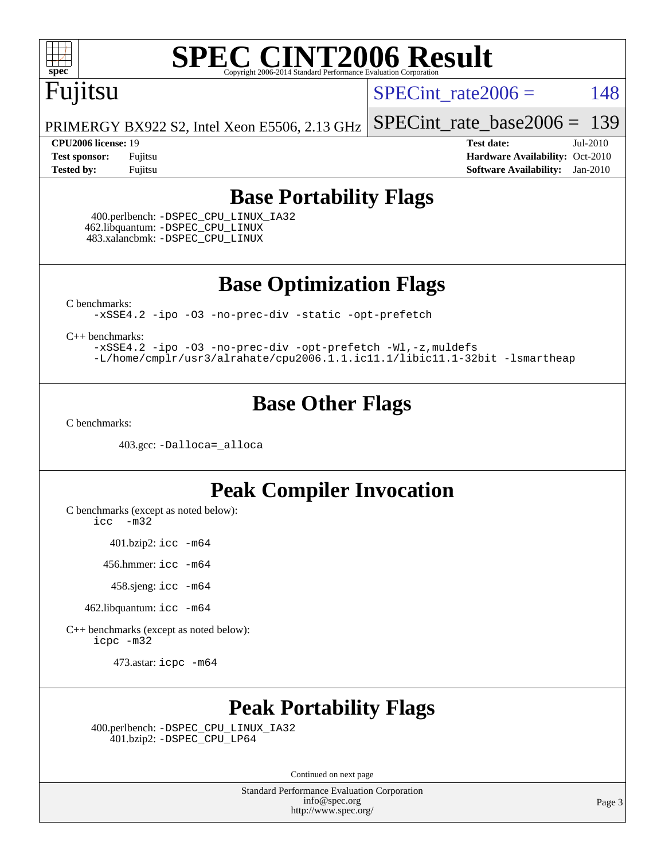

# Fujitsu

SPECint rate $2006 = 148$ 

PRIMERGY BX922 S2, Intel Xeon E5506, 2.13 GHz [SPECint\\_rate\\_base2006 =](http://www.spec.org/auto/cpu2006/Docs/result-fields.html#SPECintratebase2006) 139

**[CPU2006 license:](http://www.spec.org/auto/cpu2006/Docs/result-fields.html#CPU2006license)** 19 **[Test date:](http://www.spec.org/auto/cpu2006/Docs/result-fields.html#Testdate)** Jul-2010 **[Test sponsor:](http://www.spec.org/auto/cpu2006/Docs/result-fields.html#Testsponsor)** Fujitsu **[Hardware Availability:](http://www.spec.org/auto/cpu2006/Docs/result-fields.html#HardwareAvailability)** Oct-2010 **[Tested by:](http://www.spec.org/auto/cpu2006/Docs/result-fields.html#Testedby)** Fujitsu **[Software Availability:](http://www.spec.org/auto/cpu2006/Docs/result-fields.html#SoftwareAvailability)** Jan-2010

### **[Base Portability Flags](http://www.spec.org/auto/cpu2006/Docs/result-fields.html#BasePortabilityFlags)**

 400.perlbench: [-DSPEC\\_CPU\\_LINUX\\_IA32](http://www.spec.org/cpu2006/results/res2010q3/cpu2006-20100820-13051.flags.html#b400.perlbench_baseCPORTABILITY_DSPEC_CPU_LINUX_IA32) 462.libquantum: [-DSPEC\\_CPU\\_LINUX](http://www.spec.org/cpu2006/results/res2010q3/cpu2006-20100820-13051.flags.html#b462.libquantum_baseCPORTABILITY_DSPEC_CPU_LINUX) 483.xalancbmk: [-DSPEC\\_CPU\\_LINUX](http://www.spec.org/cpu2006/results/res2010q3/cpu2006-20100820-13051.flags.html#b483.xalancbmk_baseCXXPORTABILITY_DSPEC_CPU_LINUX)

**[Base Optimization Flags](http://www.spec.org/auto/cpu2006/Docs/result-fields.html#BaseOptimizationFlags)**

[C benchmarks](http://www.spec.org/auto/cpu2006/Docs/result-fields.html#Cbenchmarks):

[-xSSE4.2](http://www.spec.org/cpu2006/results/res2010q3/cpu2006-20100820-13051.flags.html#user_CCbase_f-xSSE42_f91528193cf0b216347adb8b939d4107) [-ipo](http://www.spec.org/cpu2006/results/res2010q3/cpu2006-20100820-13051.flags.html#user_CCbase_f-ipo) [-O3](http://www.spec.org/cpu2006/results/res2010q3/cpu2006-20100820-13051.flags.html#user_CCbase_f-O3) [-no-prec-div](http://www.spec.org/cpu2006/results/res2010q3/cpu2006-20100820-13051.flags.html#user_CCbase_f-no-prec-div) [-static](http://www.spec.org/cpu2006/results/res2010q3/cpu2006-20100820-13051.flags.html#user_CCbase_f-static) [-opt-prefetch](http://www.spec.org/cpu2006/results/res2010q3/cpu2006-20100820-13051.flags.html#user_CCbase_f-opt-prefetch)

[C++ benchmarks:](http://www.spec.org/auto/cpu2006/Docs/result-fields.html#CXXbenchmarks)

[-xSSE4.2](http://www.spec.org/cpu2006/results/res2010q3/cpu2006-20100820-13051.flags.html#user_CXXbase_f-xSSE42_f91528193cf0b216347adb8b939d4107) [-ipo](http://www.spec.org/cpu2006/results/res2010q3/cpu2006-20100820-13051.flags.html#user_CXXbase_f-ipo) [-O3](http://www.spec.org/cpu2006/results/res2010q3/cpu2006-20100820-13051.flags.html#user_CXXbase_f-O3) [-no-prec-div](http://www.spec.org/cpu2006/results/res2010q3/cpu2006-20100820-13051.flags.html#user_CXXbase_f-no-prec-div) [-opt-prefetch](http://www.spec.org/cpu2006/results/res2010q3/cpu2006-20100820-13051.flags.html#user_CXXbase_f-opt-prefetch) [-Wl,-z,muldefs](http://www.spec.org/cpu2006/results/res2010q3/cpu2006-20100820-13051.flags.html#user_CXXbase_link_force_multiple1_74079c344b956b9658436fd1b6dd3a8a) [-L/home/cmplr/usr3/alrahate/cpu2006.1.1.ic11.1/libic11.1-32bit -lsmartheap](http://www.spec.org/cpu2006/results/res2010q3/cpu2006-20100820-13051.flags.html#user_CXXbase_SmartHeap_d86dffe4a79b79ef8890d5cce17030c3)

### **[Base Other Flags](http://www.spec.org/auto/cpu2006/Docs/result-fields.html#BaseOtherFlags)**

[C benchmarks](http://www.spec.org/auto/cpu2006/Docs/result-fields.html#Cbenchmarks):

403.gcc: [-Dalloca=\\_alloca](http://www.spec.org/cpu2006/results/res2010q3/cpu2006-20100820-13051.flags.html#b403.gcc_baseEXTRA_CFLAGS_Dalloca_be3056838c12de2578596ca5467af7f3)

### **[Peak Compiler Invocation](http://www.spec.org/auto/cpu2006/Docs/result-fields.html#PeakCompilerInvocation)**

[C benchmarks \(except as noted below\)](http://www.spec.org/auto/cpu2006/Docs/result-fields.html#Cbenchmarksexceptasnotedbelow):

[icc -m32](http://www.spec.org/cpu2006/results/res2010q3/cpu2006-20100820-13051.flags.html#user_CCpeak_intel_icc_32bit_5ff4a39e364c98233615fdd38438c6f2)

401.bzip2: [icc -m64](http://www.spec.org/cpu2006/results/res2010q3/cpu2006-20100820-13051.flags.html#user_peakCCLD401_bzip2_intel_icc_64bit_bda6cc9af1fdbb0edc3795bac97ada53)

456.hmmer: [icc -m64](http://www.spec.org/cpu2006/results/res2010q3/cpu2006-20100820-13051.flags.html#user_peakCCLD456_hmmer_intel_icc_64bit_bda6cc9af1fdbb0edc3795bac97ada53)

458.sjeng: [icc -m64](http://www.spec.org/cpu2006/results/res2010q3/cpu2006-20100820-13051.flags.html#user_peakCCLD458_sjeng_intel_icc_64bit_bda6cc9af1fdbb0edc3795bac97ada53)

462.libquantum: [icc -m64](http://www.spec.org/cpu2006/results/res2010q3/cpu2006-20100820-13051.flags.html#user_peakCCLD462_libquantum_intel_icc_64bit_bda6cc9af1fdbb0edc3795bac97ada53)

[C++ benchmarks \(except as noted below\):](http://www.spec.org/auto/cpu2006/Docs/result-fields.html#CXXbenchmarksexceptasnotedbelow) [icpc -m32](http://www.spec.org/cpu2006/results/res2010q3/cpu2006-20100820-13051.flags.html#user_CXXpeak_intel_icpc_32bit_4e5a5ef1a53fd332b3c49e69c3330699)

473.astar: [icpc -m64](http://www.spec.org/cpu2006/results/res2010q3/cpu2006-20100820-13051.flags.html#user_peakCXXLD473_astar_intel_icpc_64bit_fc66a5337ce925472a5c54ad6a0de310)

### **[Peak Portability Flags](http://www.spec.org/auto/cpu2006/Docs/result-fields.html#PeakPortabilityFlags)**

 400.perlbench: [-DSPEC\\_CPU\\_LINUX\\_IA32](http://www.spec.org/cpu2006/results/res2010q3/cpu2006-20100820-13051.flags.html#b400.perlbench_peakCPORTABILITY_DSPEC_CPU_LINUX_IA32) 401.bzip2: [-DSPEC\\_CPU\\_LP64](http://www.spec.org/cpu2006/results/res2010q3/cpu2006-20100820-13051.flags.html#suite_peakCPORTABILITY401_bzip2_DSPEC_CPU_LP64)

Continued on next page

Standard Performance Evaluation Corporation [info@spec.org](mailto:info@spec.org) <http://www.spec.org/>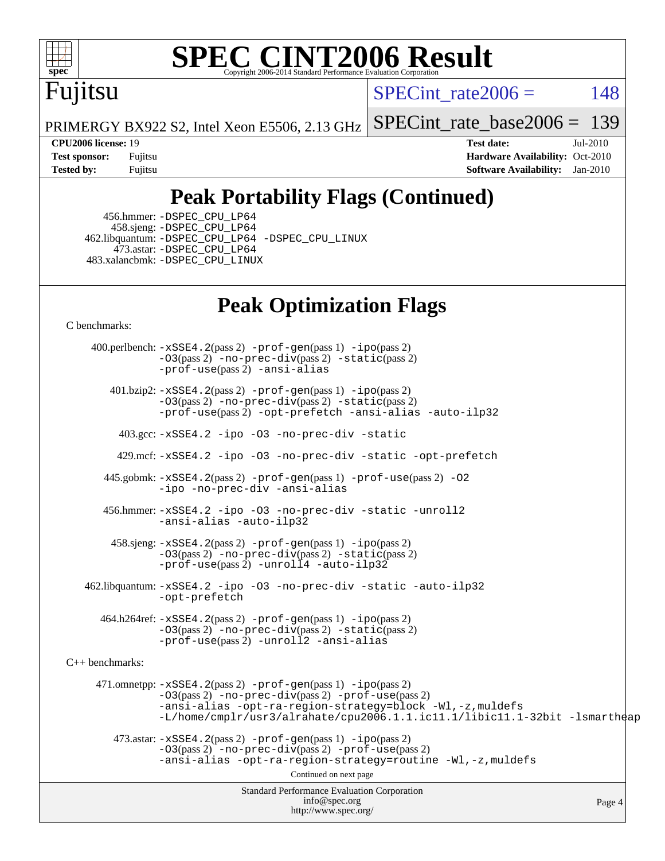

# Fujitsu

SPECint rate $2006 = 148$ 

[SPECint\\_rate\\_base2006 =](http://www.spec.org/auto/cpu2006/Docs/result-fields.html#SPECintratebase2006) 139

PRIMERGY BX922 S2, Intel Xeon E5506, 2.13 GHz

**[CPU2006 license:](http://www.spec.org/auto/cpu2006/Docs/result-fields.html#CPU2006license)** 19 **[Test date:](http://www.spec.org/auto/cpu2006/Docs/result-fields.html#Testdate)** Jul-2010 **[Test sponsor:](http://www.spec.org/auto/cpu2006/Docs/result-fields.html#Testsponsor)** Fujitsu **[Hardware Availability:](http://www.spec.org/auto/cpu2006/Docs/result-fields.html#HardwareAvailability)** Oct-2010 **[Tested by:](http://www.spec.org/auto/cpu2006/Docs/result-fields.html#Testedby)** Fujitsu **[Software Availability:](http://www.spec.org/auto/cpu2006/Docs/result-fields.html#SoftwareAvailability)** Jan-2010

# **[Peak Portability Flags \(Continued\)](http://www.spec.org/auto/cpu2006/Docs/result-fields.html#PeakPortabilityFlags)**

 456.hmmer: [-DSPEC\\_CPU\\_LP64](http://www.spec.org/cpu2006/results/res2010q3/cpu2006-20100820-13051.flags.html#suite_peakCPORTABILITY456_hmmer_DSPEC_CPU_LP64) 458.sjeng: [-DSPEC\\_CPU\\_LP64](http://www.spec.org/cpu2006/results/res2010q3/cpu2006-20100820-13051.flags.html#suite_peakCPORTABILITY458_sjeng_DSPEC_CPU_LP64) 462.libquantum: [-DSPEC\\_CPU\\_LP64](http://www.spec.org/cpu2006/results/res2010q3/cpu2006-20100820-13051.flags.html#suite_peakCPORTABILITY462_libquantum_DSPEC_CPU_LP64) [-DSPEC\\_CPU\\_LINUX](http://www.spec.org/cpu2006/results/res2010q3/cpu2006-20100820-13051.flags.html#b462.libquantum_peakCPORTABILITY_DSPEC_CPU_LINUX) 473.astar: [-DSPEC\\_CPU\\_LP64](http://www.spec.org/cpu2006/results/res2010q3/cpu2006-20100820-13051.flags.html#suite_peakCXXPORTABILITY473_astar_DSPEC_CPU_LP64) 483.xalancbmk: [-DSPEC\\_CPU\\_LINUX](http://www.spec.org/cpu2006/results/res2010q3/cpu2006-20100820-13051.flags.html#b483.xalancbmk_peakCXXPORTABILITY_DSPEC_CPU_LINUX)

# **[Peak Optimization Flags](http://www.spec.org/auto/cpu2006/Docs/result-fields.html#PeakOptimizationFlags)**

[C benchmarks](http://www.spec.org/auto/cpu2006/Docs/result-fields.html#Cbenchmarks):

Standard Performance Evaluation Corporation [info@spec.org](mailto:info@spec.org) <http://www.spec.org/> Page 4 400.perlbench: [-xSSE4.2](http://www.spec.org/cpu2006/results/res2010q3/cpu2006-20100820-13051.flags.html#user_peakPASS2_CFLAGSPASS2_LDCFLAGS400_perlbench_f-xSSE42_f91528193cf0b216347adb8b939d4107)(pass 2) [-prof-gen](http://www.spec.org/cpu2006/results/res2010q3/cpu2006-20100820-13051.flags.html#user_peakPASS1_CFLAGSPASS1_LDCFLAGS400_perlbench_prof_gen_e43856698f6ca7b7e442dfd80e94a8fc)(pass 1) [-ipo](http://www.spec.org/cpu2006/results/res2010q3/cpu2006-20100820-13051.flags.html#user_peakPASS2_CFLAGSPASS2_LDCFLAGS400_perlbench_f-ipo)(pass 2)  $-03$ (pass 2)  $-$ no-prec-div(pass 2)  $-$ static(pass 2) [-prof-use](http://www.spec.org/cpu2006/results/res2010q3/cpu2006-20100820-13051.flags.html#user_peakPASS2_CFLAGSPASS2_LDCFLAGS400_perlbench_prof_use_bccf7792157ff70d64e32fe3e1250b55)(pass 2) [-ansi-alias](http://www.spec.org/cpu2006/results/res2010q3/cpu2006-20100820-13051.flags.html#user_peakCOPTIMIZE400_perlbench_f-ansi-alias) 401.bzip2: [-xSSE4.2](http://www.spec.org/cpu2006/results/res2010q3/cpu2006-20100820-13051.flags.html#user_peakPASS2_CFLAGSPASS2_LDCFLAGS401_bzip2_f-xSSE42_f91528193cf0b216347adb8b939d4107)(pass 2) [-prof-gen](http://www.spec.org/cpu2006/results/res2010q3/cpu2006-20100820-13051.flags.html#user_peakPASS1_CFLAGSPASS1_LDCFLAGS401_bzip2_prof_gen_e43856698f6ca7b7e442dfd80e94a8fc)(pass 1) [-ipo](http://www.spec.org/cpu2006/results/res2010q3/cpu2006-20100820-13051.flags.html#user_peakPASS2_CFLAGSPASS2_LDCFLAGS401_bzip2_f-ipo)(pass 2) [-O3](http://www.spec.org/cpu2006/results/res2010q3/cpu2006-20100820-13051.flags.html#user_peakPASS2_CFLAGSPASS2_LDCFLAGS401_bzip2_f-O3)(pass 2) [-no-prec-div](http://www.spec.org/cpu2006/results/res2010q3/cpu2006-20100820-13051.flags.html#user_peakPASS2_CFLAGSPASS2_LDCFLAGS401_bzip2_f-no-prec-div)(pass 2) [-static](http://www.spec.org/cpu2006/results/res2010q3/cpu2006-20100820-13051.flags.html#user_peakPASS2_CFLAGSPASS2_LDCFLAGS401_bzip2_f-static)(pass 2) [-prof-use](http://www.spec.org/cpu2006/results/res2010q3/cpu2006-20100820-13051.flags.html#user_peakPASS2_CFLAGSPASS2_LDCFLAGS401_bzip2_prof_use_bccf7792157ff70d64e32fe3e1250b55)(pass 2) [-opt-prefetch](http://www.spec.org/cpu2006/results/res2010q3/cpu2006-20100820-13051.flags.html#user_peakCOPTIMIZE401_bzip2_f-opt-prefetch) [-ansi-alias](http://www.spec.org/cpu2006/results/res2010q3/cpu2006-20100820-13051.flags.html#user_peakCOPTIMIZE401_bzip2_f-ansi-alias) [-auto-ilp32](http://www.spec.org/cpu2006/results/res2010q3/cpu2006-20100820-13051.flags.html#user_peakCOPTIMIZE401_bzip2_f-auto-ilp32) 403.gcc: [-xSSE4.2](http://www.spec.org/cpu2006/results/res2010q3/cpu2006-20100820-13051.flags.html#user_peakCOPTIMIZE403_gcc_f-xSSE42_f91528193cf0b216347adb8b939d4107) [-ipo](http://www.spec.org/cpu2006/results/res2010q3/cpu2006-20100820-13051.flags.html#user_peakCOPTIMIZE403_gcc_f-ipo) [-O3](http://www.spec.org/cpu2006/results/res2010q3/cpu2006-20100820-13051.flags.html#user_peakCOPTIMIZE403_gcc_f-O3) [-no-prec-div](http://www.spec.org/cpu2006/results/res2010q3/cpu2006-20100820-13051.flags.html#user_peakCOPTIMIZE403_gcc_f-no-prec-div) [-static](http://www.spec.org/cpu2006/results/res2010q3/cpu2006-20100820-13051.flags.html#user_peakCOPTIMIZE403_gcc_f-static) 429.mcf: [-xSSE4.2](http://www.spec.org/cpu2006/results/res2010q3/cpu2006-20100820-13051.flags.html#user_peakCOPTIMIZE429_mcf_f-xSSE42_f91528193cf0b216347adb8b939d4107) [-ipo](http://www.spec.org/cpu2006/results/res2010q3/cpu2006-20100820-13051.flags.html#user_peakCOPTIMIZE429_mcf_f-ipo) [-O3](http://www.spec.org/cpu2006/results/res2010q3/cpu2006-20100820-13051.flags.html#user_peakCOPTIMIZE429_mcf_f-O3) [-no-prec-div](http://www.spec.org/cpu2006/results/res2010q3/cpu2006-20100820-13051.flags.html#user_peakCOPTIMIZE429_mcf_f-no-prec-div) [-static](http://www.spec.org/cpu2006/results/res2010q3/cpu2006-20100820-13051.flags.html#user_peakCOPTIMIZE429_mcf_f-static) [-opt-prefetch](http://www.spec.org/cpu2006/results/res2010q3/cpu2006-20100820-13051.flags.html#user_peakCOPTIMIZE429_mcf_f-opt-prefetch) 445.gobmk: [-xSSE4.2](http://www.spec.org/cpu2006/results/res2010q3/cpu2006-20100820-13051.flags.html#user_peakPASS2_CFLAGSPASS2_LDCFLAGS445_gobmk_f-xSSE42_f91528193cf0b216347adb8b939d4107)(pass 2) [-prof-gen](http://www.spec.org/cpu2006/results/res2010q3/cpu2006-20100820-13051.flags.html#user_peakPASS1_CFLAGSPASS1_LDCFLAGS445_gobmk_prof_gen_e43856698f6ca7b7e442dfd80e94a8fc)(pass 1) [-prof-use](http://www.spec.org/cpu2006/results/res2010q3/cpu2006-20100820-13051.flags.html#user_peakPASS2_CFLAGSPASS2_LDCFLAGS445_gobmk_prof_use_bccf7792157ff70d64e32fe3e1250b55)(pass 2) [-O2](http://www.spec.org/cpu2006/results/res2010q3/cpu2006-20100820-13051.flags.html#user_peakCOPTIMIZE445_gobmk_f-O2) [-ipo](http://www.spec.org/cpu2006/results/res2010q3/cpu2006-20100820-13051.flags.html#user_peakCOPTIMIZE445_gobmk_f-ipo) [-no-prec-div](http://www.spec.org/cpu2006/results/res2010q3/cpu2006-20100820-13051.flags.html#user_peakCOPTIMIZE445_gobmk_f-no-prec-div) [-ansi-alias](http://www.spec.org/cpu2006/results/res2010q3/cpu2006-20100820-13051.flags.html#user_peakCOPTIMIZE445_gobmk_f-ansi-alias) 456.hmmer: [-xSSE4.2](http://www.spec.org/cpu2006/results/res2010q3/cpu2006-20100820-13051.flags.html#user_peakCOPTIMIZE456_hmmer_f-xSSE42_f91528193cf0b216347adb8b939d4107) [-ipo](http://www.spec.org/cpu2006/results/res2010q3/cpu2006-20100820-13051.flags.html#user_peakCOPTIMIZE456_hmmer_f-ipo) [-O3](http://www.spec.org/cpu2006/results/res2010q3/cpu2006-20100820-13051.flags.html#user_peakCOPTIMIZE456_hmmer_f-O3) [-no-prec-div](http://www.spec.org/cpu2006/results/res2010q3/cpu2006-20100820-13051.flags.html#user_peakCOPTIMIZE456_hmmer_f-no-prec-div) [-static](http://www.spec.org/cpu2006/results/res2010q3/cpu2006-20100820-13051.flags.html#user_peakCOPTIMIZE456_hmmer_f-static) [-unroll2](http://www.spec.org/cpu2006/results/res2010q3/cpu2006-20100820-13051.flags.html#user_peakCOPTIMIZE456_hmmer_f-unroll_784dae83bebfb236979b41d2422d7ec2) [-ansi-alias](http://www.spec.org/cpu2006/results/res2010q3/cpu2006-20100820-13051.flags.html#user_peakCOPTIMIZE456_hmmer_f-ansi-alias) [-auto-ilp32](http://www.spec.org/cpu2006/results/res2010q3/cpu2006-20100820-13051.flags.html#user_peakCOPTIMIZE456_hmmer_f-auto-ilp32) 458.sjeng: [-xSSE4.2](http://www.spec.org/cpu2006/results/res2010q3/cpu2006-20100820-13051.flags.html#user_peakPASS2_CFLAGSPASS2_LDCFLAGS458_sjeng_f-xSSE42_f91528193cf0b216347adb8b939d4107)(pass 2) [-prof-gen](http://www.spec.org/cpu2006/results/res2010q3/cpu2006-20100820-13051.flags.html#user_peakPASS1_CFLAGSPASS1_LDCFLAGS458_sjeng_prof_gen_e43856698f6ca7b7e442dfd80e94a8fc)(pass 1) [-ipo](http://www.spec.org/cpu2006/results/res2010q3/cpu2006-20100820-13051.flags.html#user_peakPASS2_CFLAGSPASS2_LDCFLAGS458_sjeng_f-ipo)(pass 2) [-O3](http://www.spec.org/cpu2006/results/res2010q3/cpu2006-20100820-13051.flags.html#user_peakPASS2_CFLAGSPASS2_LDCFLAGS458_sjeng_f-O3)(pass 2) [-no-prec-div](http://www.spec.org/cpu2006/results/res2010q3/cpu2006-20100820-13051.flags.html#user_peakPASS2_CFLAGSPASS2_LDCFLAGS458_sjeng_f-no-prec-div)(pass 2) [-static](http://www.spec.org/cpu2006/results/res2010q3/cpu2006-20100820-13051.flags.html#user_peakPASS2_CFLAGSPASS2_LDCFLAGS458_sjeng_f-static)(pass 2) [-prof-use](http://www.spec.org/cpu2006/results/res2010q3/cpu2006-20100820-13051.flags.html#user_peakPASS2_CFLAGSPASS2_LDCFLAGS458_sjeng_prof_use_bccf7792157ff70d64e32fe3e1250b55)(pass 2) [-unroll4](http://www.spec.org/cpu2006/results/res2010q3/cpu2006-20100820-13051.flags.html#user_peakCOPTIMIZE458_sjeng_f-unroll_4e5e4ed65b7fd20bdcd365bec371b81f) [-auto-ilp32](http://www.spec.org/cpu2006/results/res2010q3/cpu2006-20100820-13051.flags.html#user_peakCOPTIMIZE458_sjeng_f-auto-ilp32) 462.libquantum: [-xSSE4.2](http://www.spec.org/cpu2006/results/res2010q3/cpu2006-20100820-13051.flags.html#user_peakCOPTIMIZE462_libquantum_f-xSSE42_f91528193cf0b216347adb8b939d4107) [-ipo](http://www.spec.org/cpu2006/results/res2010q3/cpu2006-20100820-13051.flags.html#user_peakCOPTIMIZE462_libquantum_f-ipo) [-O3](http://www.spec.org/cpu2006/results/res2010q3/cpu2006-20100820-13051.flags.html#user_peakCOPTIMIZE462_libquantum_f-O3) [-no-prec-div](http://www.spec.org/cpu2006/results/res2010q3/cpu2006-20100820-13051.flags.html#user_peakCOPTIMIZE462_libquantum_f-no-prec-div) [-static](http://www.spec.org/cpu2006/results/res2010q3/cpu2006-20100820-13051.flags.html#user_peakCOPTIMIZE462_libquantum_f-static) [-auto-ilp32](http://www.spec.org/cpu2006/results/res2010q3/cpu2006-20100820-13051.flags.html#user_peakCOPTIMIZE462_libquantum_f-auto-ilp32) [-opt-prefetch](http://www.spec.org/cpu2006/results/res2010q3/cpu2006-20100820-13051.flags.html#user_peakCOPTIMIZE462_libquantum_f-opt-prefetch) 464.h264ref: [-xSSE4.2](http://www.spec.org/cpu2006/results/res2010q3/cpu2006-20100820-13051.flags.html#user_peakPASS2_CFLAGSPASS2_LDCFLAGS464_h264ref_f-xSSE42_f91528193cf0b216347adb8b939d4107)(pass 2) [-prof-gen](http://www.spec.org/cpu2006/results/res2010q3/cpu2006-20100820-13051.flags.html#user_peakPASS1_CFLAGSPASS1_LDCFLAGS464_h264ref_prof_gen_e43856698f6ca7b7e442dfd80e94a8fc)(pass 1) [-ipo](http://www.spec.org/cpu2006/results/res2010q3/cpu2006-20100820-13051.flags.html#user_peakPASS2_CFLAGSPASS2_LDCFLAGS464_h264ref_f-ipo)(pass 2) [-O3](http://www.spec.org/cpu2006/results/res2010q3/cpu2006-20100820-13051.flags.html#user_peakPASS2_CFLAGSPASS2_LDCFLAGS464_h264ref_f-O3)(pass 2) [-no-prec-div](http://www.spec.org/cpu2006/results/res2010q3/cpu2006-20100820-13051.flags.html#user_peakPASS2_CFLAGSPASS2_LDCFLAGS464_h264ref_f-no-prec-div)(pass 2) [-static](http://www.spec.org/cpu2006/results/res2010q3/cpu2006-20100820-13051.flags.html#user_peakPASS2_CFLAGSPASS2_LDCFLAGS464_h264ref_f-static)(pass 2) [-prof-use](http://www.spec.org/cpu2006/results/res2010q3/cpu2006-20100820-13051.flags.html#user_peakPASS2_CFLAGSPASS2_LDCFLAGS464_h264ref_prof_use_bccf7792157ff70d64e32fe3e1250b55)(pass 2) [-unroll2](http://www.spec.org/cpu2006/results/res2010q3/cpu2006-20100820-13051.flags.html#user_peakCOPTIMIZE464_h264ref_f-unroll_784dae83bebfb236979b41d2422d7ec2) [-ansi-alias](http://www.spec.org/cpu2006/results/res2010q3/cpu2006-20100820-13051.flags.html#user_peakCOPTIMIZE464_h264ref_f-ansi-alias) [C++ benchmarks:](http://www.spec.org/auto/cpu2006/Docs/result-fields.html#CXXbenchmarks) 471.omnetpp: [-xSSE4.2](http://www.spec.org/cpu2006/results/res2010q3/cpu2006-20100820-13051.flags.html#user_peakPASS2_CXXFLAGSPASS2_LDCXXFLAGS471_omnetpp_f-xSSE42_f91528193cf0b216347adb8b939d4107)(pass 2) [-prof-gen](http://www.spec.org/cpu2006/results/res2010q3/cpu2006-20100820-13051.flags.html#user_peakPASS1_CXXFLAGSPASS1_LDCXXFLAGS471_omnetpp_prof_gen_e43856698f6ca7b7e442dfd80e94a8fc)(pass 1) [-ipo](http://www.spec.org/cpu2006/results/res2010q3/cpu2006-20100820-13051.flags.html#user_peakPASS2_CXXFLAGSPASS2_LDCXXFLAGS471_omnetpp_f-ipo)(pass 2) [-O3](http://www.spec.org/cpu2006/results/res2010q3/cpu2006-20100820-13051.flags.html#user_peakPASS2_CXXFLAGSPASS2_LDCXXFLAGS471_omnetpp_f-O3)(pass 2) [-no-prec-div](http://www.spec.org/cpu2006/results/res2010q3/cpu2006-20100820-13051.flags.html#user_peakPASS2_CXXFLAGSPASS2_LDCXXFLAGS471_omnetpp_f-no-prec-div)(pass 2) [-prof-use](http://www.spec.org/cpu2006/results/res2010q3/cpu2006-20100820-13051.flags.html#user_peakPASS2_CXXFLAGSPASS2_LDCXXFLAGS471_omnetpp_prof_use_bccf7792157ff70d64e32fe3e1250b55)(pass 2) [-ansi-alias](http://www.spec.org/cpu2006/results/res2010q3/cpu2006-20100820-13051.flags.html#user_peakCXXOPTIMIZE471_omnetpp_f-ansi-alias) [-opt-ra-region-strategy=block](http://www.spec.org/cpu2006/results/res2010q3/cpu2006-20100820-13051.flags.html#user_peakCXXOPTIMIZE471_omnetpp_f-opt-ra-region-strategy-block_a0a37c372d03933b2a18d4af463c1f69) [-Wl,-z,muldefs](http://www.spec.org/cpu2006/results/res2010q3/cpu2006-20100820-13051.flags.html#user_peakEXTRA_LDFLAGS471_omnetpp_link_force_multiple1_74079c344b956b9658436fd1b6dd3a8a) [-L/home/cmplr/usr3/alrahate/cpu2006.1.1.ic11.1/libic11.1-32bit -lsmartheap](http://www.spec.org/cpu2006/results/res2010q3/cpu2006-20100820-13051.flags.html#user_peakEXTRA_LIBS471_omnetpp_SmartHeap_d86dffe4a79b79ef8890d5cce17030c3)  $473.\text{astar: } -xSSE4$ .  $2(\text{pass 2})$   $-\text{prof-gen}(\text{pass 1})$   $-i\text{po}(\text{pass 2})$ [-O3](http://www.spec.org/cpu2006/results/res2010q3/cpu2006-20100820-13051.flags.html#user_peakPASS2_CXXFLAGSPASS2_LDCXXFLAGS473_astar_f-O3)(pass 2) [-no-prec-div](http://www.spec.org/cpu2006/results/res2010q3/cpu2006-20100820-13051.flags.html#user_peakPASS2_CXXFLAGSPASS2_LDCXXFLAGS473_astar_f-no-prec-div)(pass 2) [-prof-use](http://www.spec.org/cpu2006/results/res2010q3/cpu2006-20100820-13051.flags.html#user_peakPASS2_CXXFLAGSPASS2_LDCXXFLAGS473_astar_prof_use_bccf7792157ff70d64e32fe3e1250b55)(pass 2) [-ansi-alias](http://www.spec.org/cpu2006/results/res2010q3/cpu2006-20100820-13051.flags.html#user_peakCXXOPTIMIZE473_astar_f-ansi-alias) [-opt-ra-region-strategy=routine](http://www.spec.org/cpu2006/results/res2010q3/cpu2006-20100820-13051.flags.html#user_peakCXXOPTIMIZE473_astar_f-opt-ra-region-strategy-routine_ba086ea3b1d46a52e1238e2ca173ed44) [-Wl,-z,muldefs](http://www.spec.org/cpu2006/results/res2010q3/cpu2006-20100820-13051.flags.html#user_peakEXTRA_LDFLAGS473_astar_link_force_multiple1_74079c344b956b9658436fd1b6dd3a8a) Continued on next page